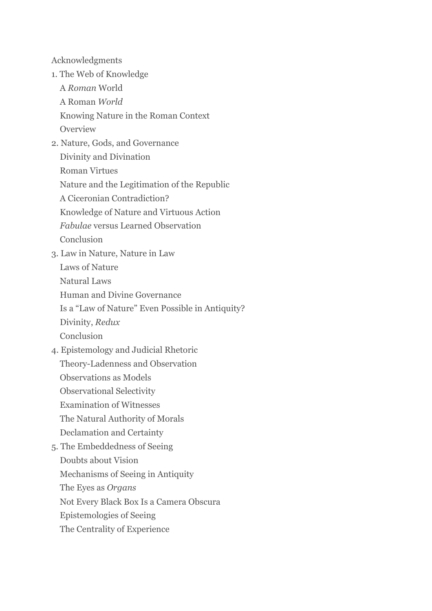Acknowledgments

- 1. The Web of Knowledge
	- A *Roman* World
	- A Roman *World*
	- Knowing Nature in the Roman Context
	- Overview
- 2. Nature, Gods, and Governance
	- Divinity and Divination
	- Roman Virtues
	- Nature and the Legitimation of the Republic
	- A Ciceronian Contradiction?
	- Knowledge of Nature and Virtuous Action
	- *Fabulae* versus Learned Observation
	- Conclusion
- 3. Law in Nature, Nature in Law
	- Laws of Nature Natural Laws
	- Human and Divine Governance
	- Is a "Law of Nature" Even Possible in Antiquity?
	- Divinity, *Redux*
	- Conclusion
- 4. Epistemology and Judicial Rhetoric Theory-Ladenness and Observation Observations as Models Observational Selectivity Examination of Witnesses
	- The Natural Authority of Morals Declamation and Certainty
- 5. The Embeddedness of Seeing Doubts about Vision Mechanisms of Seeing in Antiquity The Eyes as *Organs* Not Every Black Box Is a Camera Obscura Epistemologies of Seeing
	- The Centrality of Experience